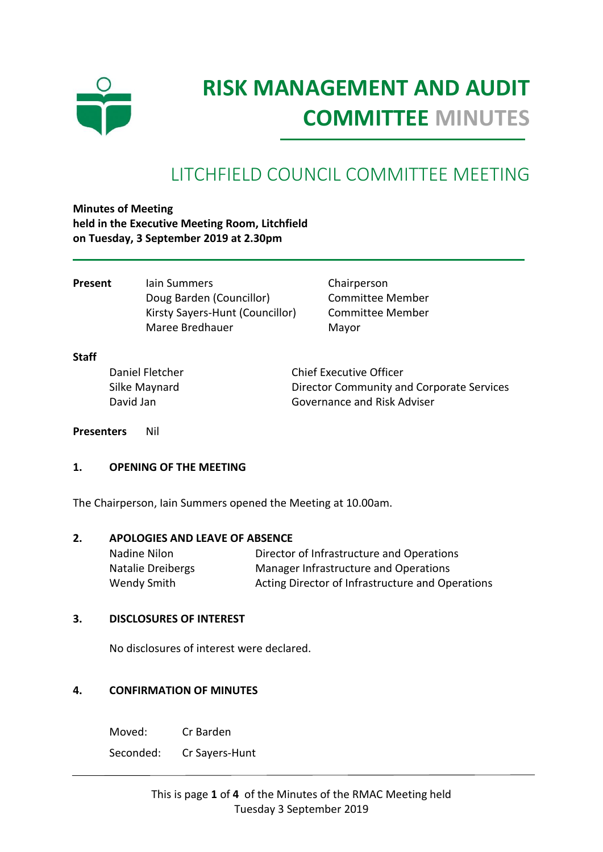

# **RISK MANAGEMENT AND AUDIT COMMITTEE MINUTES**

# LITCHFIELD COUNCIL COMMITTEE MEETING

**Minutes of Meeting held in the Executive Meeting Room, Litchfield on Tuesday, 3 September 2019 at 2.30pm**

**Present** Iain Summers Chairperson Doug Barden (Councillor) Committee Member Kirsty Sayers-Hunt (Councillor) Committee Member Maree Bredhauer Mayor

**Staff**

Daniel Fletcher Chief Executive Officer Silke Maynard **Director Community and Corporate Services** David Jan Governance and Risk Adviser

**Presenters** Nil

#### **1. OPENING OF THE MEETING**

The Chairperson, Iain Summers opened the Meeting at 10.00am.

#### **2. APOLOGIES AND LEAVE OF ABSENCE**

| Nadine Nilon      | Director of Infrastructure and Operations        |
|-------------------|--------------------------------------------------|
| Natalie Dreibergs | Manager Infrastructure and Operations            |
| Wendy Smith       | Acting Director of Infrastructure and Operations |

#### **3. DISCLOSURES OF INTEREST**

No disclosures of interest were declared.

#### **4. CONFIRMATION OF MINUTES**

Moved: Cr Barden

Seconded: Cr Sayers-Hunt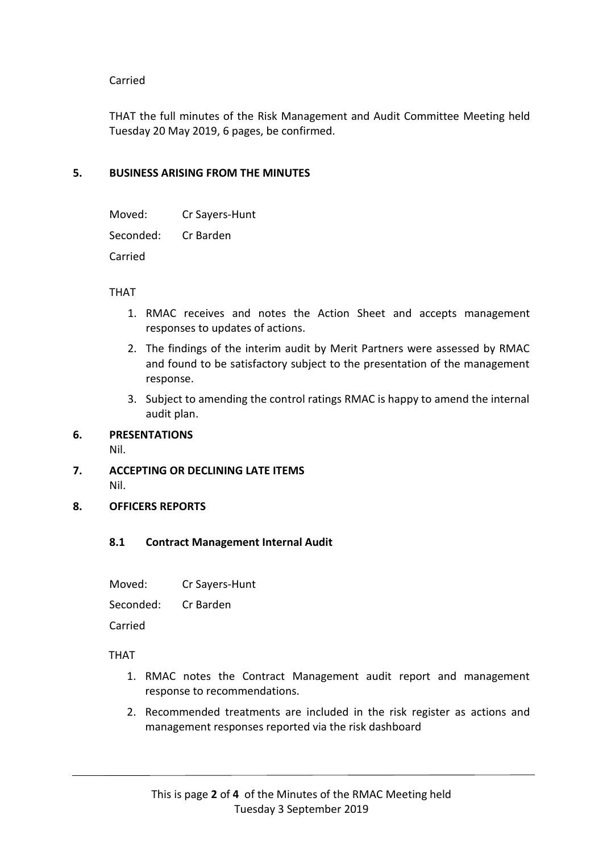#### Carried

THAT the full minutes of the Risk Management and Audit Committee Meeting held Tuesday 20 May 2019, 6 pages, be confirmed.

#### **5. BUSINESS ARISING FROM THE MINUTES**

| Moved: | Cr Sayers-Hunt |
|--------|----------------|
|        |                |

Seconded: Cr Barden

Carried

#### THAT

- 1. RMAC receives and notes the Action Sheet and accepts management responses to updates of actions.
- 2. The findings of the interim audit by Merit Partners were assessed by RMAC and found to be satisfactory subject to the presentation of the management response.
- 3. Subject to amending the control ratings RMAC is happy to amend the internal audit plan.

# **6. PRESENTATIONS**

Nil.

- **7. ACCEPTING OR DECLINING LATE ITEMS** Nil.
- **8. OFFICERS REPORTS**

# **8.1 Contract Management Internal Audit**

Moved: Cr Sayers-Hunt

Seconded: Cr Barden

Carried

THAT

- 1. RMAC notes the Contract Management audit report and management response to recommendations.
- 2. Recommended treatments are included in the risk register as actions and management responses reported via the risk dashboard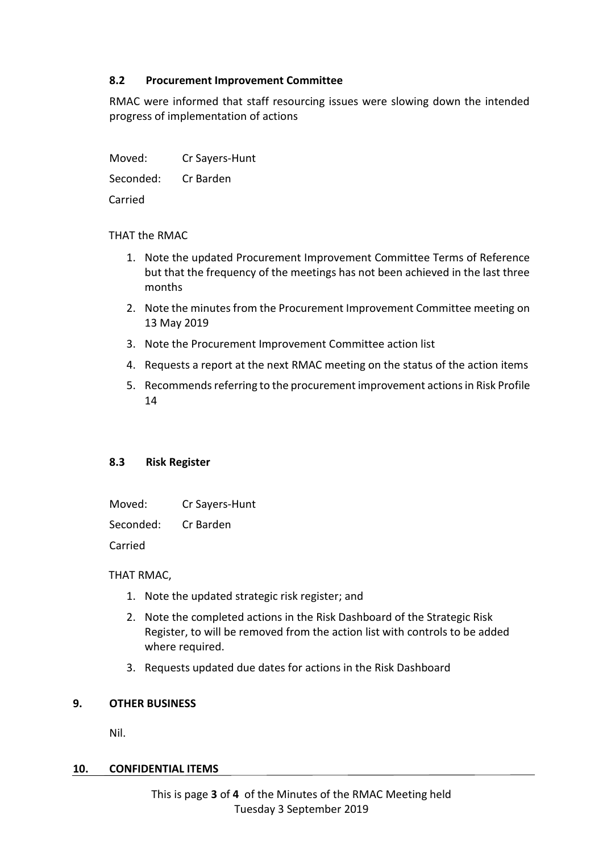# **8.2 Procurement Improvement Committee**

RMAC were informed that staff resourcing issues were slowing down the intended progress of implementation of actions

Moved: Cr Sayers-Hunt

Seconded: Cr Barden

Carried

THAT the RMAC

- 1. Note the updated Procurement Improvement Committee Terms of Reference but that the frequency of the meetings has not been achieved in the last three months
- 2. Note the minutes from the Procurement Improvement Committee meeting on 13 May 2019
- 3. Note the Procurement Improvement Committee action list
- 4. Requests a report at the next RMAC meeting on the status of the action items
- 5. Recommends referring to the procurement improvement actions in Risk Profile 14

# **8.3 Risk Register**

Moved: Cr Sayers-Hunt

Seconded: Cr Barden

Carried

THAT RMAC,

- 1. Note the updated strategic risk register; and
- 2. Note the completed actions in the Risk Dashboard of the Strategic Risk Register, to will be removed from the action list with controls to be added where required.
- 3. Requests updated due dates for actions in the Risk Dashboard

# **9. OTHER BUSINESS**

Nil.

# **10. CONFIDENTIAL ITEMS**